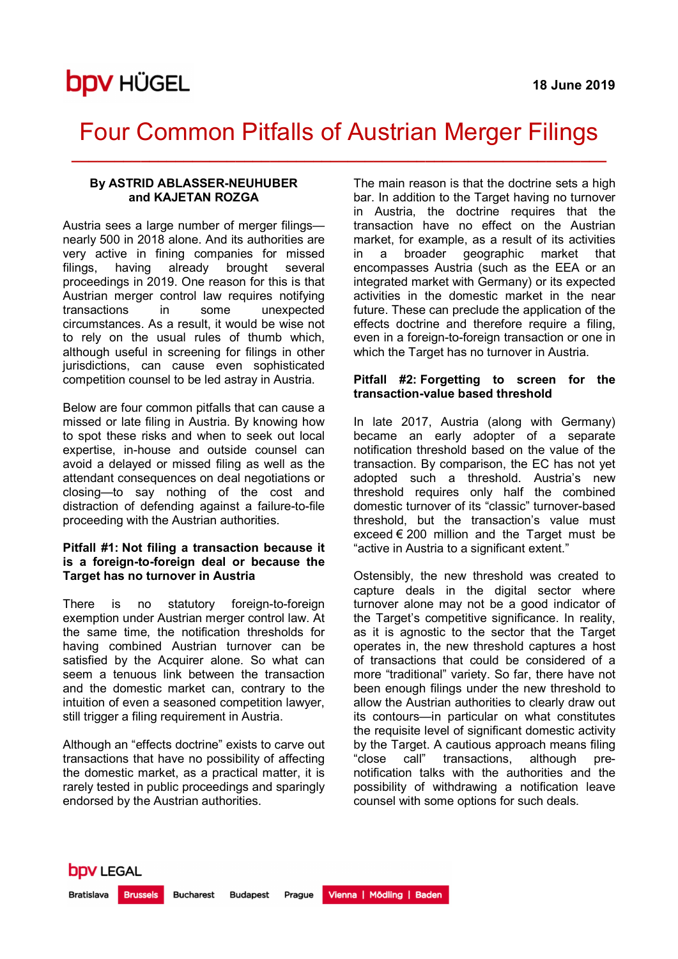## Four Common Pitfalls of Austrian Merger Filings \_\_\_\_\_\_\_\_\_\_\_\_\_\_\_\_\_\_\_\_\_\_\_\_\_\_\_\_\_\_\_\_\_\_\_\_\_\_\_\_\_\_\_\_\_\_\_\_\_\_\_\_\_\_\_\_\_\_\_\_\_\_

### By ASTRID ABLASSER-NEUHUBER and KAJETAN ROZGA

Austria sees a large number of merger filings nearly 500 in 2018 alone. And its authorities are very active in fining companies for missed filings, having already brought several proceedings in 2019. One reason for this is that Austrian merger control law requires notifying transactions in some unexpected circumstances. As a result, it would be wise not to rely on the usual rules of thumb which, although useful in screening for filings in other jurisdictions, can cause even sophisticated competition counsel to be led astray in Austria.

Below are four common pitfalls that can cause a missed or late filing in Austria. By knowing how to spot these risks and when to seek out local expertise, in-house and outside counsel can avoid a delayed or missed filing as well as the attendant consequences on deal negotiations or closing—to say nothing of the cost and distraction of defending against a failure-to-file proceeding with the Austrian authorities.

### Pitfall #1: Not filing a transaction because it is a foreign-to-foreign deal or because the Target has no turnover in Austria

There is no statutory foreign-to-foreign exemption under Austrian merger control law. At the same time, the notification thresholds for having combined Austrian turnover can be satisfied by the Acquirer alone. So what can seem a tenuous link between the transaction and the domestic market can, contrary to the intuition of even a seasoned competition lawyer, still trigger a filing requirement in Austria.

Although an "effects doctrine" exists to carve out transactions that have no possibility of affecting the domestic market, as a practical matter, it is rarely tested in public proceedings and sparingly endorsed by the Austrian authorities.

The main reason is that the doctrine sets a high bar. In addition to the Target having no turnover in Austria, the doctrine requires that the transaction have no effect on the Austrian market, for example, as a result of its activities in a broader geographic market that encompasses Austria (such as the EEA or an integrated market with Germany) or its expected activities in the domestic market in the near future. These can preclude the application of the effects doctrine and therefore require a filing, even in a foreign-to-foreign transaction or one in which the Target has no turnover in Austria.

### Pitfall #2: Forgetting to screen for the transaction-value based threshold

In late 2017, Austria (along with Germany) became an early adopter of a separate notification threshold based on the value of the transaction. By comparison, the EC has not yet adopted such a threshold. Austria's new threshold requires only half the combined domestic turnover of its "classic" turnover-based threshold, but the transaction's value must exceed  $\epsilon$  200 million and the Target must be "active in Austria to a significant extent."

Ostensibly, the new threshold was created to capture deals in the digital sector where turnover alone may not be a good indicator of the Target's competitive significance. In reality, as it is agnostic to the sector that the Target operates in, the new threshold captures a host of transactions that could be considered of a more "traditional" variety. So far, there have not been enough filings under the new threshold to allow the Austrian authorities to clearly draw out its contours—in particular on what constitutes the requisite level of significant domestic activity by the Target. A cautious approach means filing "close call" transactions, although prenotification talks with the authorities and the possibility of withdrawing a notification leave counsel with some options for such deals.